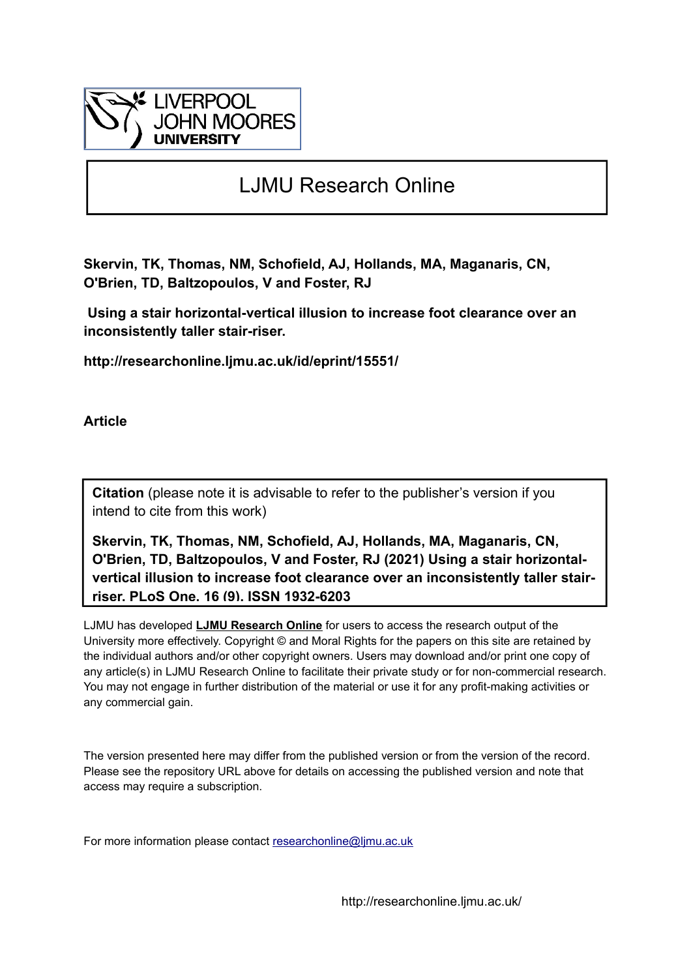

# LJMU Research Online

**Skervin, TK, Thomas, NM, Schofield, AJ, Hollands, MA, Maganaris, CN, O'Brien, TD, Baltzopoulos, V and Foster, RJ**

 **Using a stair horizontal-vertical illusion to increase foot clearance over an inconsistently taller stair-riser.**

**http://researchonline.ljmu.ac.uk/id/eprint/15551/**

**Article**

**Citation** (please note it is advisable to refer to the publisher's version if you intend to cite from this work)

**Skervin, TK, Thomas, NM, Schofield, AJ, Hollands, MA, Maganaris, CN, O'Brien, TD, Baltzopoulos, V and Foster, RJ (2021) Using a stair horizontalvertical illusion to increase foot clearance over an inconsistently taller stairriser. PLoS One, 16 (9). ISSN 1932-6203** 

LJMU has developed **[LJMU Research Online](http://researchonline.ljmu.ac.uk/)** for users to access the research output of the University more effectively. Copyright © and Moral Rights for the papers on this site are retained by the individual authors and/or other copyright owners. Users may download and/or print one copy of any article(s) in LJMU Research Online to facilitate their private study or for non-commercial research. You may not engage in further distribution of the material or use it for any profit-making activities or any commercial gain.

The version presented here may differ from the published version or from the version of the record. Please see the repository URL above for details on accessing the published version and note that access may require a subscription.

For more information please contact researchonline@limu.ac.uk

http://researchonline.ljmu.ac.uk/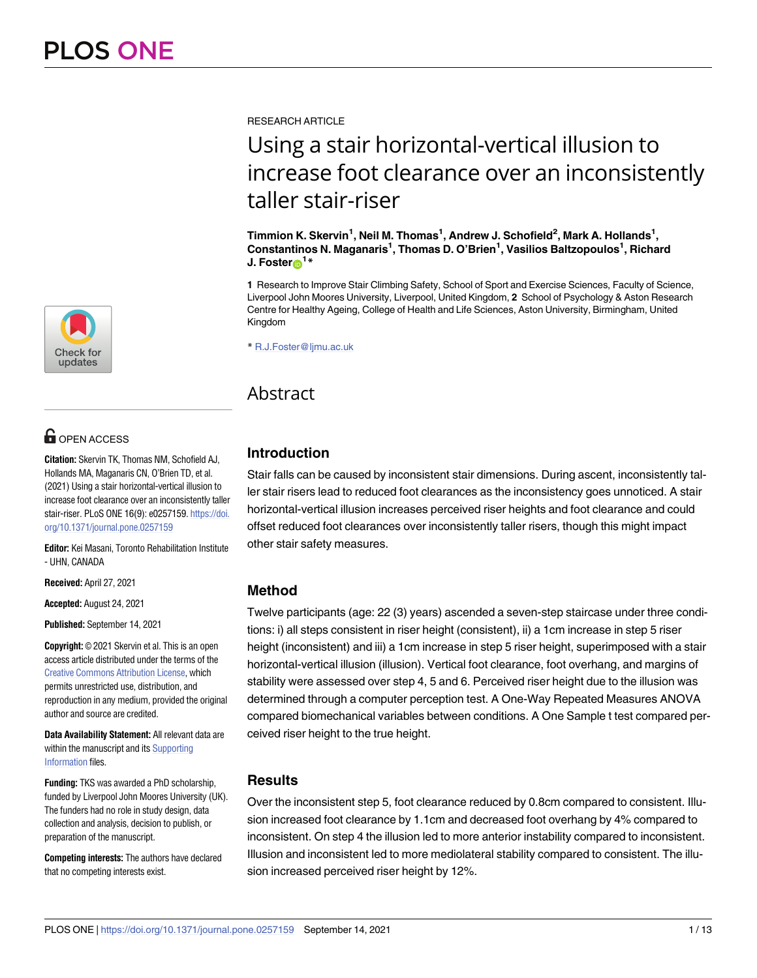[a1111111111](http://crossmark.crossref.org/dialog/?doi=10.1371/journal.pone.0257159&domain=pdf&date_stamp=2021-09-14) **a**1.11 [a1111111111](http://crossmark.crossref.org/dialog/?doi=10.1371/journal.pone.0257159&domain=pdf&date_stamp=2021-09-14) Check for updates

# **OPEN ACCESS**

**Citation:** Skervin TK, Thomas NM, Schofield AJ, Hollands MA, Maganaris CN, O'Brien TD, et al. (2021) Using a stair horizontal-vertical illusion to increase foot clearance over an inconsistently taller stair-riser. PLoS ONE 16(9): e0257159. [https://doi.](https://doi.org/10.1371/journal.pone.0257159) [org/10.1371/journal.pone.0257159](https://doi.org/10.1371/journal.pone.0257159)

**Editor:** Kei Masani, Toronto Rehabilitation Institute - UHN, CANADA

**Received:** April 27, 2021

**Accepted:** August 24, 2021

**Published:** September 14, 2021

**Copyright:** © 2021 Skervin et al. This is an open access article distributed under the terms of the Creative Commons [Attribution](http://creativecommons.org/licenses/by/4.0/) License, which permits unrestricted use, distribution, and reproduction in any medium, provided the original author and source are credited.

**Data Availability Statement:** All relevant data are within the manuscript and its [Supporting](#page-10-0) [Information](#page-10-0) files.

**Funding:** TKS was awarded a PhD scholarship, funded by Liverpool John Moores University (UK). The funders had no role in study design, data collection and analysis, decision to publish, or preparation of the manuscript.

**Competing interests:** The authors have declared that no competing interests exist.

RESEARCH ARTICLE

# Using a stair horizontal-vertical illusion to increase foot clearance over an inconsistently taller stair-riser

 $\mathbf{I}^{\prime}$  **Timmion K. Skervin<sup>1</sup>, Neil M. Thomas<sup>1</sup>, Andrew J. Schofield<sup>2</sup>, Mark A. Hollands<sup>1</sup>, Constantinos N. Maganaris1 , Thomas D. O'Brien1 , Vasilios Baltzopoulos1 , Richard J.** Foster $\mathbf{D}^{1*}$ 

**1** Research to Improve Stair Climbing Safety, School of Sport and Exercise Sciences, Faculty of Science, Liverpool John Moores University, Liverpool, United Kingdom, **2** School of Psychology & Aston Research Centre for Healthy Ageing, College of Health and Life Sciences, Aston University, Birmingham, United Kingdom

\* R.J.Foster@ljmu.ac.uk

# Abstract

## **Introduction**

Stair falls can be caused by inconsistent stair dimensions. During ascent, inconsistently taller stair risers lead to reduced foot clearances as the inconsistency goes unnoticed. A stair horizontal-vertical illusion increases perceived riser heights and foot clearance and could offset reduced foot clearances over inconsistently taller risers, though this might impact other stair safety measures.

## **Method**

Twelve participants (age: 22 (3) years) ascended a seven-step staircase under three conditions: i) all steps consistent in riser height (consistent), ii) a 1cm increase in step 5 riser height (inconsistent) and iii) a 1cm increase in step 5 riser height, superimposed with a stair horizontal-vertical illusion (illusion). Vertical foot clearance, foot overhang, and margins of stability were assessed over step 4, 5 and 6. Perceived riser height due to the illusion was determined through a computer perception test. A One-Way Repeated Measures ANOVA compared biomechanical variables between conditions. A One Sample t test compared perceived riser height to the true height.

### **Results**

Over the inconsistent step 5, foot clearance reduced by 0.8cm compared to consistent. Illusion increased foot clearance by 1.1cm and decreased foot overhang by 4% compared to inconsistent. On step 4 the illusion led to more anterior instability compared to inconsistent. Illusion and inconsistent led to more mediolateral stability compared to consistent. The illusion increased perceived riser height by 12%.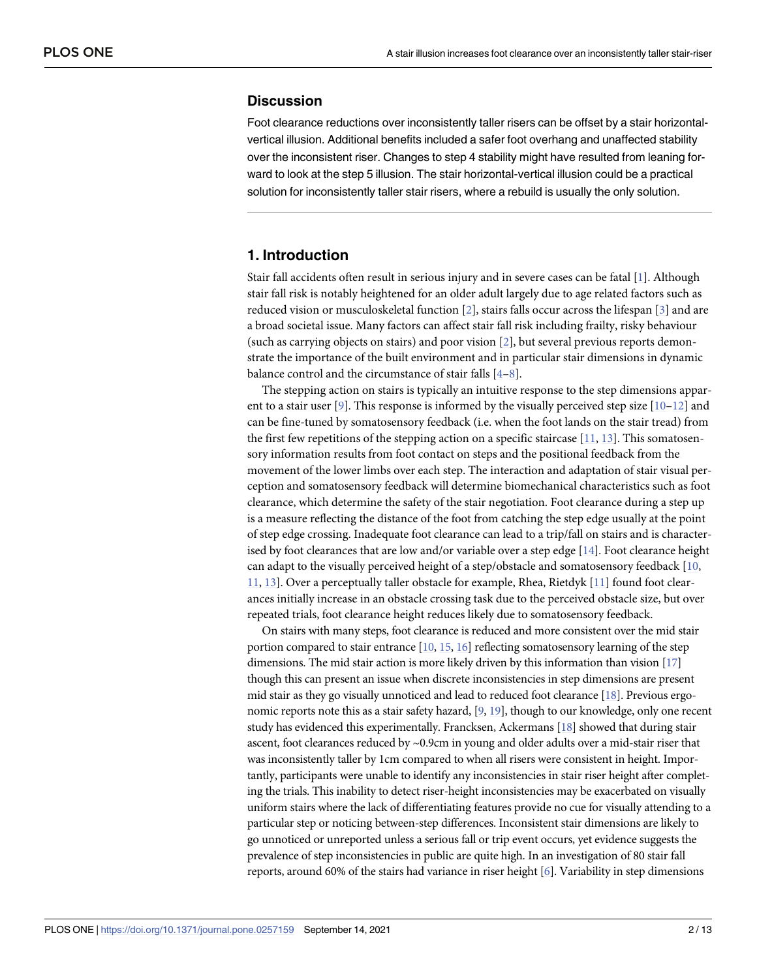#### <span id="page-2-0"></span>**Discussion**

Foot clearance reductions over inconsistently taller risers can be offset by a stair horizontalvertical illusion. Additional benefits included a safer foot overhang and unaffected stability over the inconsistent riser. Changes to step 4 stability might have resulted from leaning forward to look at the step 5 illusion. The stair horizontal-vertical illusion could be a practical solution for inconsistently taller stair risers, where a rebuild is usually the only solution.

#### **1. Introduction**

Stair fall accidents often result in serious injury and in severe cases can be fatal [[1\]](#page-11-0). Although stair fall risk is notably heightened for an older adult largely due to age related factors such as reduced vision or musculoskeletal function [\[2\]](#page-11-0), stairs falls occur across the lifespan [\[3](#page-11-0)] and are a broad societal issue. Many factors can affect stair fall risk including frailty, risky behaviour (such as carrying objects on stairs) and poor vision [\[2\]](#page-11-0), but several previous reports demonstrate the importance of the built environment and in particular stair dimensions in dynamic balance control and the circumstance of stair falls [\[4–8\]](#page-11-0).

The stepping action on stairs is typically an intuitive response to the step dimensions appar-ent to a stair user [[9](#page-11-0)]. This response is informed by the visually perceived step size  $[10-12]$  $[10-12]$  $[10-12]$  and can be fine-tuned by somatosensory feedback (i.e. when the foot lands on the stair tread) from the first few repetitions of the stepping action on a specific staircase  $[11, 13]$  $[11, 13]$  $[11, 13]$ . This somatosensory information results from foot contact on steps and the positional feedback from the movement of the lower limbs over each step. The interaction and adaptation of stair visual perception and somatosensory feedback will determine biomechanical characteristics such as foot clearance, which determine the safety of the stair negotiation. Foot clearance during a step up is a measure reflecting the distance of the foot from catching the step edge usually at the point of step edge crossing. Inadequate foot clearance can lead to a trip/fall on stairs and is characterised by foot clearances that are low and/or variable over a step edge [\[14\]](#page-12-0). Foot clearance height can adapt to the visually perceived height of a step/obstacle and somatosensory feedback [[10](#page-11-0), [11,](#page-11-0) [13](#page-12-0)]. Over a perceptually taller obstacle for example, Rhea, Rietdyk [\[11\]](#page-11-0) found foot clearances initially increase in an obstacle crossing task due to the perceived obstacle size, but over repeated trials, foot clearance height reduces likely due to somatosensory feedback.

On stairs with many steps, foot clearance is reduced and more consistent over the mid stair portion compared to stair entrance [[10](#page-11-0), [15,](#page-12-0) [16](#page-12-0)] reflecting somatosensory learning of the step dimensions. The mid stair action is more likely driven by this information than vision [\[17](#page-12-0)] though this can present an issue when discrete inconsistencies in step dimensions are present mid stair as they go visually unnoticed and lead to reduced foot clearance [[18\]](#page-12-0). Previous ergo-nomic reports note this as a stair safety hazard, [[9,](#page-11-0) [19](#page-12-0)], though to our knowledge, only one recent study has evidenced this experimentally. Francksen, Ackermans [[18](#page-12-0)] showed that during stair ascent, foot clearances reduced by ~0.9cm in young and older adults over a mid-stair riser that was inconsistently taller by 1cm compared to when all risers were consistent in height. Importantly, participants were unable to identify any inconsistencies in stair riser height after completing the trials. This inability to detect riser-height inconsistencies may be exacerbated on visually uniform stairs where the lack of differentiating features provide no cue for visually attending to a particular step or noticing between-step differences. Inconsistent stair dimensions are likely to go unnoticed or unreported unless a serious fall or trip event occurs, yet evidence suggests the prevalence of step inconsistencies in public are quite high. In an investigation of 80 stair fall reports, around 60% of the stairs had variance in riser height [\[6\]](#page-11-0). Variability in step dimensions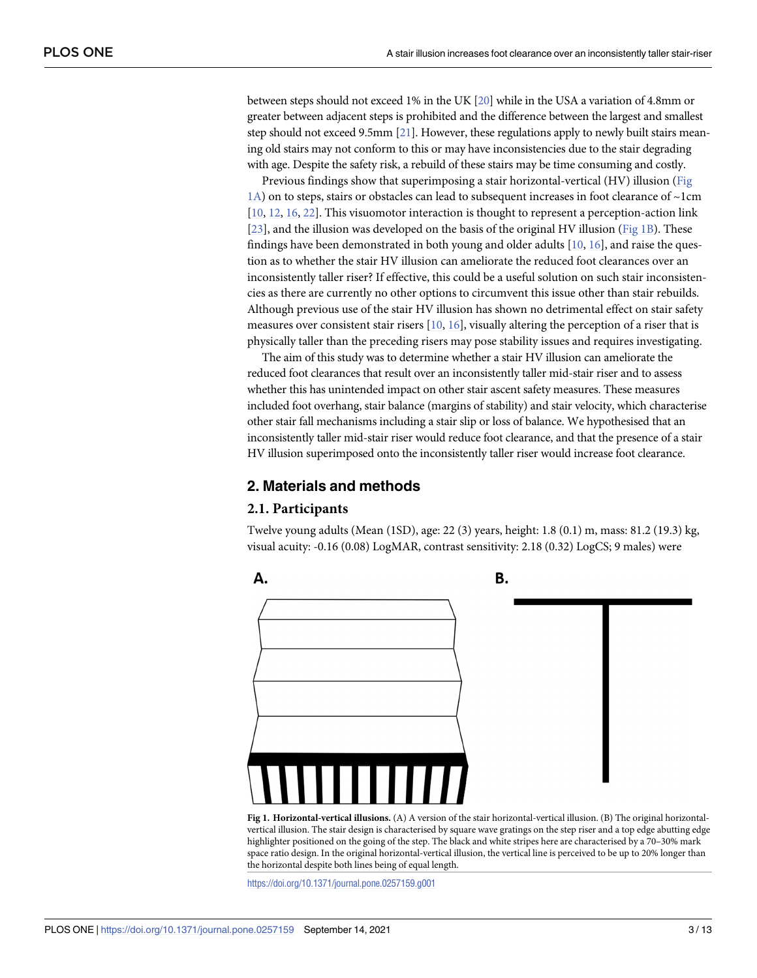<span id="page-3-0"></span>between steps should not exceed 1% in the UK [[20\]](#page-12-0) while in the USA a variation of 4.8mm or greater between adjacent steps is prohibited and the difference between the largest and smallest step should not exceed 9.5mm [\[21\]](#page-12-0). However, these regulations apply to newly built stairs meaning old stairs may not conform to this or may have inconsistencies due to the stair degrading with age. Despite the safety risk, a rebuild of these stairs may be time consuming and costly.

Previous findings show that superimposing a stair horizontal-vertical (HV) illusion (Fig 1A) on to steps, stairs or obstacles can lead to subsequent increases in foot clearance of ~1cm [\[10,](#page-11-0) [12,](#page-12-0) [16,](#page-12-0) [22\]](#page-12-0). This visuomotor interaction is thought to represent a perception-action link [\[23\]](#page-12-0), and the illusion was developed on the basis of the original HV illusion (Fig 1B). These findings have been demonstrated in both young and older adults  $[10, 16]$  $[10, 16]$  $[10, 16]$ , and raise the question as to whether the stair HV illusion can ameliorate the reduced foot clearances over an inconsistently taller riser? If effective, this could be a useful solution on such stair inconsistencies as there are currently no other options to circumvent this issue other than stair rebuilds. Although previous use of the stair HV illusion has shown no detrimental effect on stair safety measures over consistent stair risers  $[10, 16]$  $[10, 16]$  $[10, 16]$ , visually altering the perception of a riser that is physically taller than the preceding risers may pose stability issues and requires investigating.

The aim of this study was to determine whether a stair HV illusion can ameliorate the reduced foot clearances that result over an inconsistently taller mid-stair riser and to assess whether this has unintended impact on other stair ascent safety measures. These measures included foot overhang, stair balance (margins of stability) and stair velocity, which characterise other stair fall mechanisms including a stair slip or loss of balance. We hypothesised that an inconsistently taller mid-stair riser would reduce foot clearance, and that the presence of a stair HV illusion superimposed onto the inconsistently taller riser would increase foot clearance.

#### **2. Materials and methods**

#### **2.1. Participants**

Twelve young adults (Mean (1SD), age: 22 (3) years, height: 1.8 (0.1) m, mass: 81.2 (19.3) kg, visual acuity: -0.16 (0.08) LogMAR, contrast sensitivity: 2.18 (0.32) LogCS; 9 males) were



**Fig 1. Horizontal-vertical illusions.** (A) A version of the stair horizontal-vertical illusion. (B) The original horizontalvertical illusion. The stair design is characterised by square wave gratings on the step riser and a top edge abutting edge highlighter positioned on the going of the step. The black and white stripes here are characterised by a 70-30% mark space ratio design. In the original horizontal-vertical illusion, the vertical line is perceived to be up to 20% longer than the horizontal despite both lines being of equal length.

<https://doi.org/10.1371/journal.pone.0257159.g001>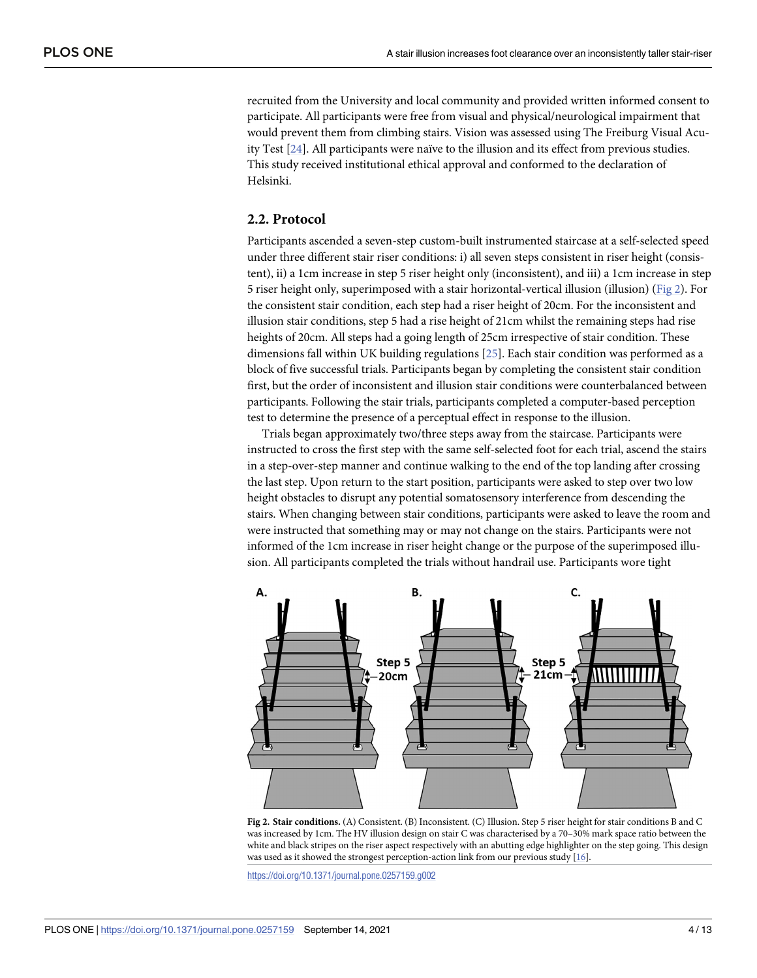<span id="page-4-0"></span>recruited from the University and local community and provided written informed consent to participate. All participants were free from visual and physical/neurological impairment that would prevent them from climbing stairs. Vision was assessed using The Freiburg Visual Acuity Test [[24](#page-12-0)]. All participants were naïve to the illusion and its effect from previous studies. This study received institutional ethical approval and conformed to the declaration of Helsinki.

#### **2.2. Protocol**

Participants ascended a seven-step custom-built instrumented staircase at a self-selected speed under three different stair riser conditions: i) all seven steps consistent in riser height (consistent), ii) a 1cm increase in step 5 riser height only (inconsistent), and iii) a 1cm increase in step 5 riser height only, superimposed with a stair horizontal-vertical illusion (illusion) (Fig 2). For the consistent stair condition, each step had a riser height of 20cm. For the inconsistent and illusion stair conditions, step 5 had a rise height of 21cm whilst the remaining steps had rise heights of 20cm. All steps had a going length of 25cm irrespective of stair condition. These dimensions fall within UK building regulations [\[25\]](#page-12-0). Each stair condition was performed as a block of five successful trials. Participants began by completing the consistent stair condition first, but the order of inconsistent and illusion stair conditions were counterbalanced between participants. Following the stair trials, participants completed a computer-based perception test to determine the presence of a perceptual effect in response to the illusion.

Trials began approximately two/three steps away from the staircase. Participants were instructed to cross the first step with the same self-selected foot for each trial, ascend the stairs in a step-over-step manner and continue walking to the end of the top landing after crossing the last step. Upon return to the start position, participants were asked to step over two low height obstacles to disrupt any potential somatosensory interference from descending the stairs. When changing between stair conditions, participants were asked to leave the room and were instructed that something may or may not change on the stairs. Participants were not informed of the 1cm increase in riser height change or the purpose of the superimposed illusion. All participants completed the trials without handrail use. Participants wore tight



**Fig 2. Stair conditions.** (A) Consistent. (B) Inconsistent. (C) Illusion. Step 5 riser height for stair conditions B and C was increased by 1cm. The HV illusion design on stair C was characterised by a 70–30% mark space ratio between the white and black stripes on the riser aspect respectively with an abutting edge highlighter on the step going. This design was used as it showed the strongest perception-action link from our previous study [\[16\]](#page-12-0).

<https://doi.org/10.1371/journal.pone.0257159.g002>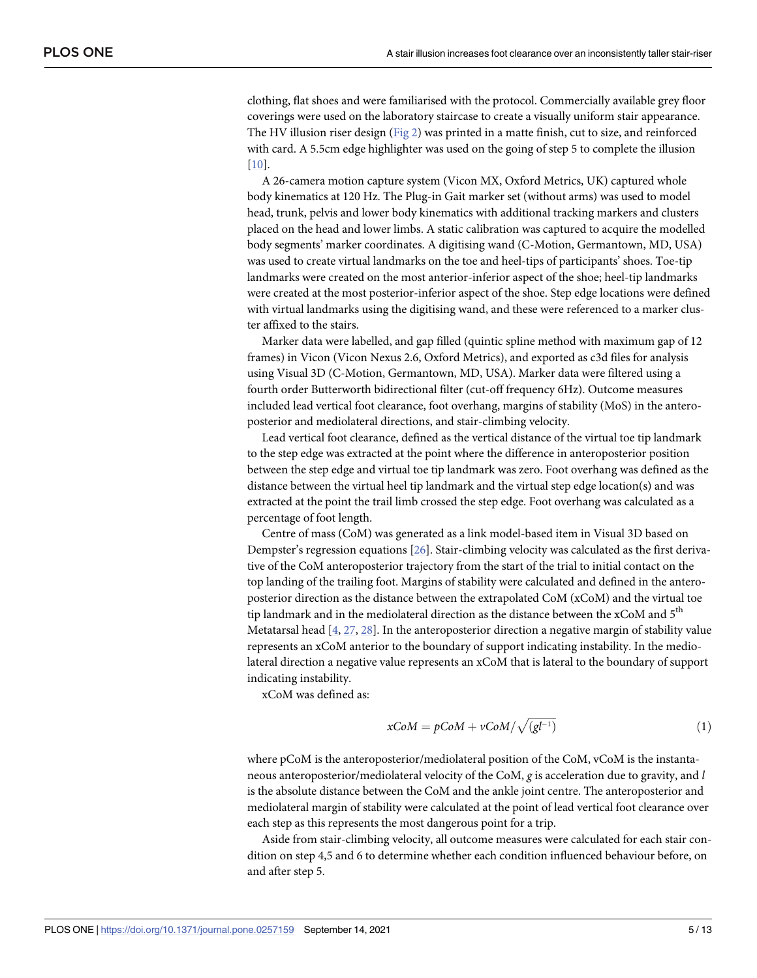<span id="page-5-0"></span>clothing, flat shoes and were familiarised with the protocol. Commercially available grey floor coverings were used on the laboratory staircase to create a visually uniform stair appearance. The HV illusion riser design [\(Fig](#page-4-0) 2) was printed in a matte finish, cut to size, and reinforced with card. A 5.5cm edge highlighter was used on the going of step 5 to complete the illusion [\[10\]](#page-11-0).

A 26-camera motion capture system (Vicon MX, Oxford Metrics, UK) captured whole body kinematics at 120 Hz. The Plug-in Gait marker set (without arms) was used to model head, trunk, pelvis and lower body kinematics with additional tracking markers and clusters placed on the head and lower limbs. A static calibration was captured to acquire the modelled body segments' marker coordinates. A digitising wand (C-Motion, Germantown, MD, USA) was used to create virtual landmarks on the toe and heel-tips of participants' shoes. Toe-tip landmarks were created on the most anterior-inferior aspect of the shoe; heel-tip landmarks were created at the most posterior-inferior aspect of the shoe. Step edge locations were defined with virtual landmarks using the digitising wand, and these were referenced to a marker cluster affixed to the stairs.

Marker data were labelled, and gap filled (quintic spline method with maximum gap of 12 frames) in Vicon (Vicon Nexus 2.6, Oxford Metrics), and exported as c3d files for analysis using Visual 3D (C-Motion, Germantown, MD, USA). Marker data were filtered using a fourth order Butterworth bidirectional filter (cut-off frequency 6Hz). Outcome measures included lead vertical foot clearance, foot overhang, margins of stability (MoS) in the anteroposterior and mediolateral directions, and stair-climbing velocity.

Lead vertical foot clearance, defined as the vertical distance of the virtual toe tip landmark to the step edge was extracted at the point where the difference in anteroposterior position between the step edge and virtual toe tip landmark was zero. Foot overhang was defined as the distance between the virtual heel tip landmark and the virtual step edge location(s) and was extracted at the point the trail limb crossed the step edge. Foot overhang was calculated as a percentage of foot length.

Centre of mass (CoM) was generated as a link model-based item in Visual 3D based on Dempster's regression equations [\[26\]](#page-12-0). Stair-climbing velocity was calculated as the first derivative of the CoM anteroposterior trajectory from the start of the trial to initial contact on the top landing of the trailing foot. Margins of stability were calculated and defined in the anteroposterior direction as the distance between the extrapolated CoM (xCoM) and the virtual toe tip landmark and in the mediolateral direction as the distance between the  $x$ CoM and  $5<sup>th</sup>$ Metatarsal head [[4,](#page-11-0) [27,](#page-12-0) [28\]](#page-12-0). In the anteroposterior direction a negative margin of stability value represents an xCoM anterior to the boundary of support indicating instability. In the mediolateral direction a negative value represents an xCoM that is lateral to the boundary of support indicating instability.

xCoM was defined as:

$$
xCoM = pCoM + vCoM/\sqrt{(gl^{-1})}
$$
 (1)

where pCoM is the anteroposterior/mediolateral position of the CoM, vCoM is the instantaneous anteroposterior/mediolateral velocity of the CoM, *g* is acceleration due to gravity, and *l* is the absolute distance between the CoM and the ankle joint centre. The anteroposterior and mediolateral margin of stability were calculated at the point of lead vertical foot clearance over each step as this represents the most dangerous point for a trip.

Aside from stair-climbing velocity, all outcome measures were calculated for each stair condition on step 4,5 and 6 to determine whether each condition influenced behaviour before, on and after step 5.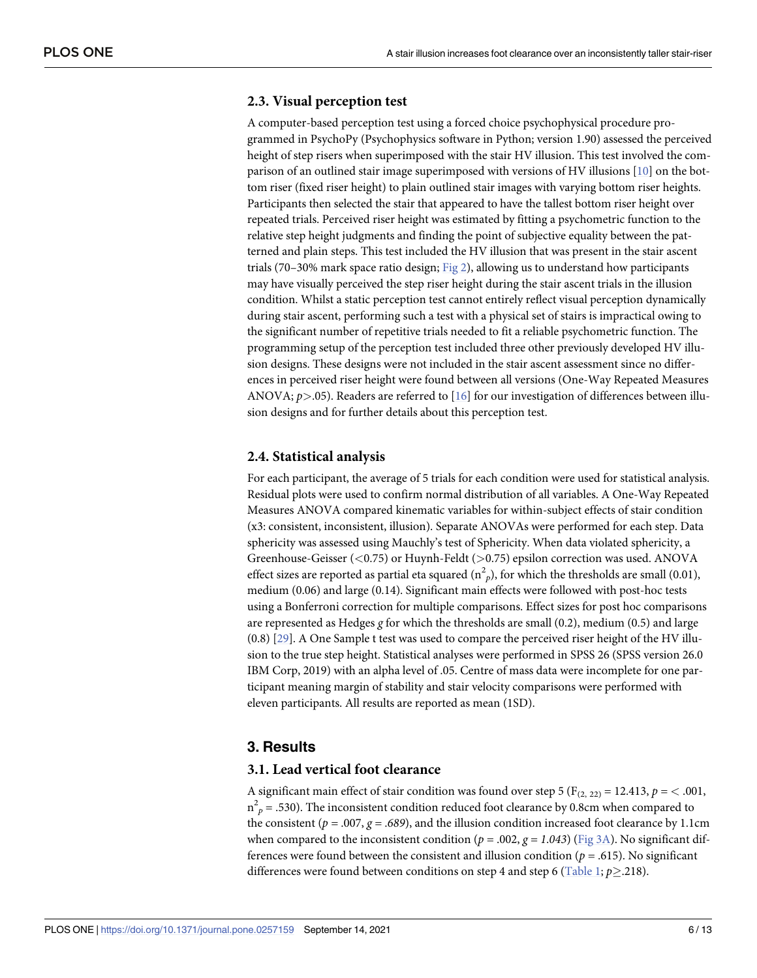#### <span id="page-6-0"></span>**2.3. Visual perception test**

A computer-based perception test using a forced choice psychophysical procedure programmed in PsychoPy (Psychophysics software in Python; version 1.90) assessed the perceived height of step risers when superimposed with the stair HV illusion. This test involved the comparison of an outlined stair image superimposed with versions of HV illusions [\[10\]](#page-11-0) on the bottom riser (fixed riser height) to plain outlined stair images with varying bottom riser heights. Participants then selected the stair that appeared to have the tallest bottom riser height over repeated trials. Perceived riser height was estimated by fitting a psychometric function to the relative step height judgments and finding the point of subjective equality between the patterned and plain steps. This test included the HV illusion that was present in the stair ascent trials (70-30% mark space ratio design;  $Fig 2$  $Fig 2$ ), allowing us to understand how participants may have visually perceived the step riser height during the stair ascent trials in the illusion condition. Whilst a static perception test cannot entirely reflect visual perception dynamically during stair ascent, performing such a test with a physical set of stairs is impractical owing to the significant number of repetitive trials needed to fit a reliable psychometric function. The programming setup of the perception test included three other previously developed HV illusion designs. These designs were not included in the stair ascent assessment since no differences in perceived riser height were found between all versions (One-Way Repeated Measures ANOVA; *p>*.05). Readers are referred to [\[16\]](#page-12-0) for our investigation of differences between illusion designs and for further details about this perception test.

#### **2.4. Statistical analysis**

For each participant, the average of 5 trials for each condition were used for statistical analysis. Residual plots were used to confirm normal distribution of all variables. A One-Way Repeated Measures ANOVA compared kinematic variables for within-subject effects of stair condition (x3: consistent, inconsistent, illusion). Separate ANOVAs were performed for each step. Data sphericity was assessed using Mauchly's test of Sphericity. When data violated sphericity, a Greenhouse-Geisser (*<*0.75) or Huynh-Feldt (*>*0.75) epsilon correction was used. ANOVA effect sizes are reported as partial eta squared ( $n^2$ <sub>p</sub>), for which the thresholds are small (0.01), medium (0.06) and large (0.14). Significant main effects were followed with post-hoc tests using a Bonferroni correction for multiple comparisons. Effect sizes for post hoc comparisons are represented as Hedges *g* for which the thresholds are small (0.2), medium (0.5) and large (0.8) [\[29\]](#page-12-0). A One Sample t test was used to compare the perceived riser height of the HV illusion to the true step height. Statistical analyses were performed in SPSS 26 (SPSS version 26.0 IBM Corp, 2019) with an alpha level of .05. Centre of mass data were incomplete for one participant meaning margin of stability and stair velocity comparisons were performed with eleven participants. All results are reported as mean (1SD).

#### **3. Results**

#### **3.1. Lead vertical foot clearance**

A significant main effect of stair condition was found over step 5 ( $F_{(2, 22)} = 12.413$ ,  $p = < .001$ ,  $n_{p}^{2}$  = .530). The inconsistent condition reduced foot clearance by 0.8cm when compared to the consistent ( $p = .007$ ,  $g = .689$ ), and the illusion condition increased foot clearance by 1.1cm when compared to the inconsistent condition ( $p = .002$ ,  $g = 1.043$ ) [\(Fig](#page-7-0) 3A). No significant differences were found between the consistent and illusion condition ( $p = .615$ ). No significant differences were found between conditions on step 4 and step 6 ([Table](#page-8-0) 1;  $p \ge 0.218$ ).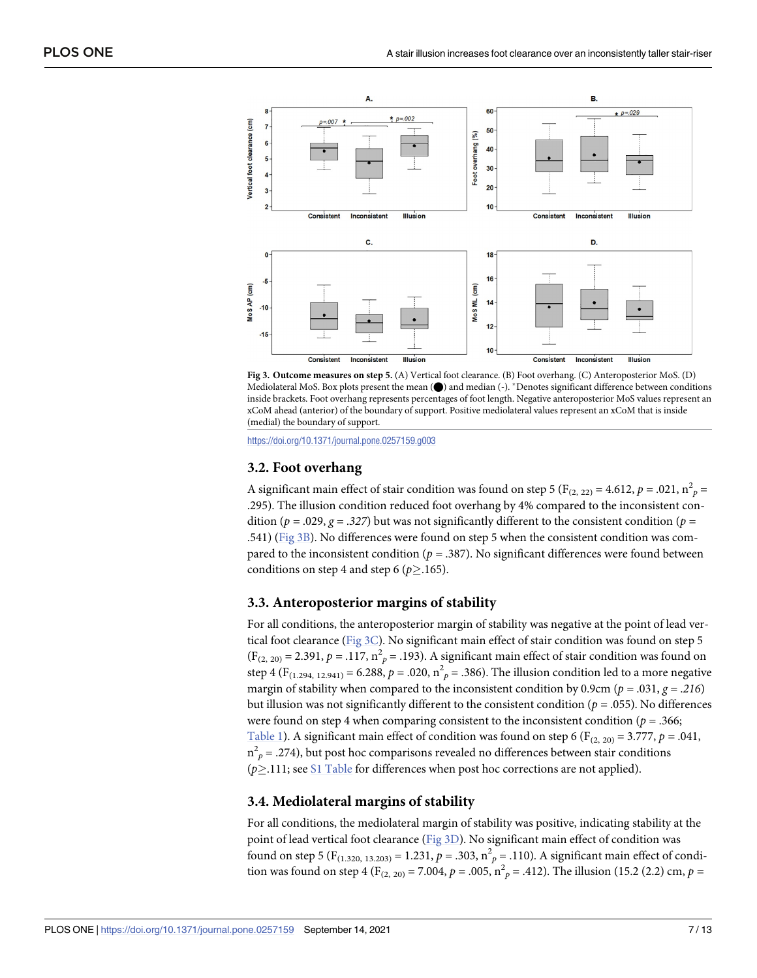<span id="page-7-0"></span>



<https://doi.org/10.1371/journal.pone.0257159.g003>

#### **3.2. Foot overhang**

A significant main effect of stair condition was found on step 5 ( $F_{(2, 22)} = 4.612$ ,  $p = .021$ ,  $n_p^2 =$ .295). The illusion condition reduced foot overhang by 4% compared to the inconsistent condition ( $p = .029$ ,  $g = .327$ ) but was not significantly different to the consistent condition ( $p =$ .541) (Fig 3B). No differences were found on step 5 when the consistent condition was compared to the inconsistent condition ( $p = .387$ ). No significant differences were found between conditions on step 4 and step 6 ( $p \ge 165$ ).

#### **3.3. Anteroposterior margins of stability**

For all conditions, the anteroposterior margin of stability was negative at the point of lead vertical foot clearance (Fig 3C). No significant main effect of stair condition was found on step 5  $(F_{(2, 20)} = 2.391, p = .117, n<sup>2</sup><sub>p</sub> = .193)$ . A significant main effect of stair condition was found on step 4 (F<sub>(1.294, 12.941)</sub> = 6.288,  $p = .020$ ,  $n^2$ <sub>p</sub> = .386). The illusion condition led to a more negative margin of stability when compared to the inconsistent condition by 0.9cm ( $p = .031$ ,  $q = .216$ ) but illusion was not significantly different to the consistent condition (*p =* .055). No differences were found on step 4 when comparing consistent to the inconsistent condition ( $p = 0.366$ ; [Table](#page-8-0) 1). A significant main effect of condition was found on step 6 ( $F_{(2, 20)} = 3.777$ ,  $p = .041$ ,  $n_{p}^{2}$  = .274), but post hoc comparisons revealed no differences between stair conditions  $(p \ge 111)$ ; see S1 [Table](#page-10-0) for differences when post hoc corrections are not applied).

#### **3.4. Mediolateral margins of stability**

For all conditions, the mediolateral margin of stability was positive, indicating stability at the point of lead vertical foot clearance (Fig 3D). No significant main effect of condition was found on step 5 (F<sub>(1.320, 13.203)</sub> = 1.231,  $p = .303$ ,  $n_p^2 = .110$ ). A significant main effect of condition was found on step 4 (F<sub>(2, 20)</sub> = 7.004,  $p = .005$ ,  $n_p^2 = .412$ ). The illusion (15.2 (2.2) cm,  $p =$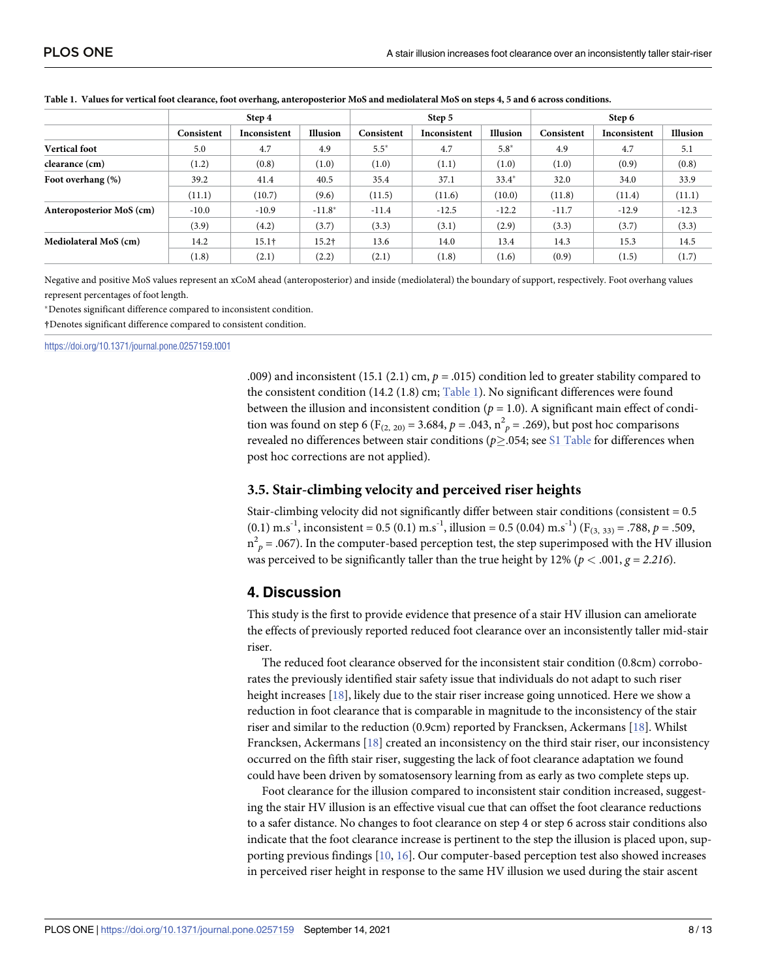|                          | Step 4     |                   |          | Step 5     |              |          | Step 6     |              |          |
|--------------------------|------------|-------------------|----------|------------|--------------|----------|------------|--------------|----------|
|                          | Consistent | Inconsistent      | Illusion | Consistent | Inconsistent | Illusion | Consistent | Inconsistent | Illusion |
| <b>Vertical foot</b>     | 5.0        | 4.7               | 4.9      | $5.5*$     | 4.7          | $5.8*$   | 4.9        | 4.7          | 5.1      |
| clearance (cm)           | (1.2)      | (0.8)             | (1.0)    | (1.0)      | (1.1)        | (1.0)    | (1.0)      | (0.9)        | (0.8)    |
| Foot overhang (%)        | 39.2       | 41.4              | 40.5     | 35.4       | 37.1         | $33.4*$  | 32.0       | 34.0         | 33.9     |
|                          | (11.1)     | (10.7)            | (9.6)    | (11.5)     | (11.6)       | (10.0)   | (11.8)     | (11.4)       | (11.1)   |
| Anteroposterior MoS (cm) | $-10.0$    | $-10.9$           | $-11.8*$ | $-11.4$    | $-12.5$      | $-12.2$  | $-11.7$    | $-12.9$      | $-12.3$  |
|                          | (3.9)      | (4.2)             | (3.7)    | (3.3)      | (3.1)        | (2.9)    | (3.3)      | (3.7)        | (3.3)    |
| Mediolateral MoS (cm)    | 14.2       | 15.1 <sup>†</sup> | $15.2$ † | 13.6       | 14.0         | 13.4     | 14.3       | 15.3         | 14.5     |
|                          | (1.8)      | (2.1)             | (2.2)    | (2.1)      | (1.8)        | (1.6)    | (0.9)      | (1.5)        | (1.7)    |

<span id="page-8-0"></span>[Table](#page-6-0) 1. Values for vertical foot clearance, foot overhang, anteroposterior MoS and mediolateral MoS on steps 4, 5 and 6 across conditions.

Negative and positive MoS values represent an xCoM ahead (anteroposterior) and inside (mediolateral) the boundary of support, respectively. Foot overhang values represent percentages of foot length.

�Denotes significant difference compared to inconsistent condition.

**†**Denotes significant difference compared to consistent condition.

<https://doi.org/10.1371/journal.pone.0257159.t001>

.009) and inconsistent (15.1 (2.1) cm,  $p = .015$ ) condition led to greater stability compared to the consistent condition (14.2 (1.8) cm; Table 1). No significant differences were found between the illusion and inconsistent condition ( $p = 1.0$ ). A significant main effect of condition was found on step 6 (F<sub>(2, 20)</sub> = 3.684,  $p = .043$ ,  $n_p^2 = .269$ ), but post hoc comparisons revealed no differences between stair conditions (*p*�.054; see S1 [Table](#page-10-0) for differences when post hoc corrections are not applied).

#### **3.5. Stair-climbing velocity and perceived riser heights**

Stair-climbing velocity did not significantly differ between stair conditions (consistent = 0.5  $(0.1)$  m.s<sup>-1</sup>, inconsistent = 0.5 (0.1) m.s<sup>-1</sup>, illusion = 0.5 (0.04) m.s<sup>-1</sup>) (F<sub>(3, 33)</sub> = .788, p = .509,  $n_{p}^{2}$  = .067). In the computer-based perception test, the step superimposed with the HV illusion was perceived to be significantly taller than the true height by 12% ( $p < .001$ ,  $g = 2.216$ ).

#### **4. Discussion**

This study is the first to provide evidence that presence of a stair HV illusion can ameliorate the effects of previously reported reduced foot clearance over an inconsistently taller mid-stair riser.

The reduced foot clearance observed for the inconsistent stair condition (0.8cm) corroborates the previously identified stair safety issue that individuals do not adapt to such riser height increases [\[18\]](#page-12-0), likely due to the stair riser increase going unnoticed. Here we show a reduction in foot clearance that is comparable in magnitude to the inconsistency of the stair riser and similar to the reduction (0.9cm) reported by Francksen, Ackermans [\[18\]](#page-12-0). Whilst Francksen, Ackermans [\[18\]](#page-12-0) created an inconsistency on the third stair riser, our inconsistency occurred on the fifth stair riser, suggesting the lack of foot clearance adaptation we found could have been driven by somatosensory learning from as early as two complete steps up.

Foot clearance for the illusion compared to inconsistent stair condition increased, suggesting the stair HV illusion is an effective visual cue that can offset the foot clearance reductions to a safer distance. No changes to foot clearance on step 4 or step 6 across stair conditions also indicate that the foot clearance increase is pertinent to the step the illusion is placed upon, supporting previous findings [[10](#page-11-0), [16](#page-12-0)]. Our computer-based perception test also showed increases in perceived riser height in response to the same HV illusion we used during the stair ascent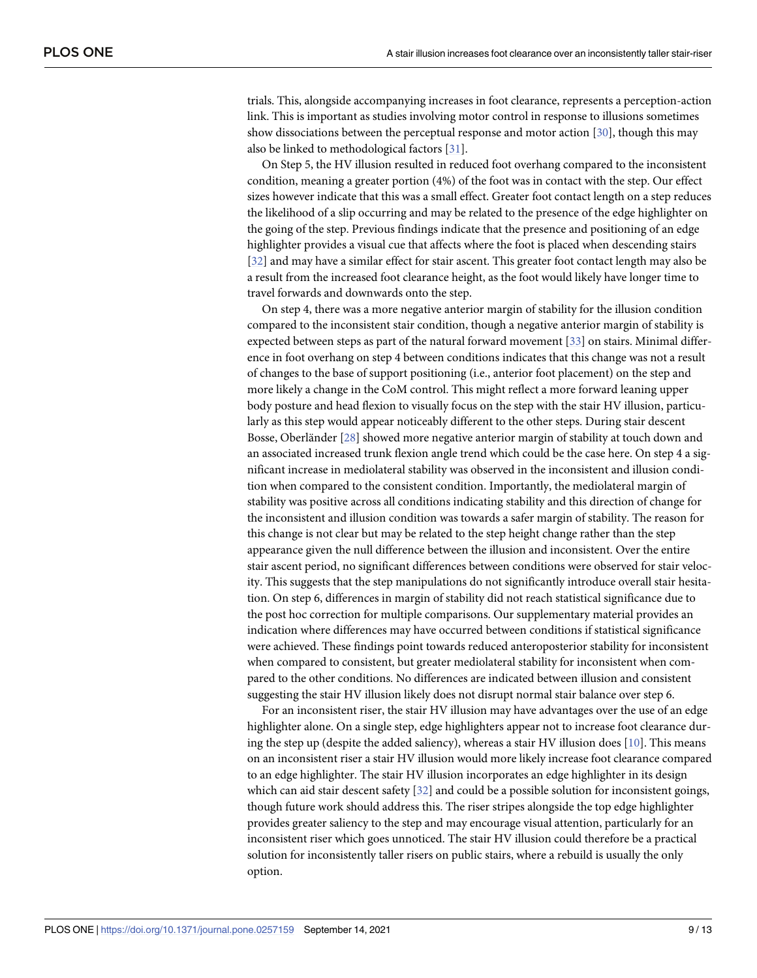<span id="page-9-0"></span>trials. This, alongside accompanying increases in foot clearance, represents a perception-action link. This is important as studies involving motor control in response to illusions sometimes show dissociations between the perceptual response and motor action [[30](#page-12-0)], though this may also be linked to methodological factors [\[31\]](#page-12-0).

On Step 5, the HV illusion resulted in reduced foot overhang compared to the inconsistent condition, meaning a greater portion (4%) of the foot was in contact with the step. Our effect sizes however indicate that this was a small effect. Greater foot contact length on a step reduces the likelihood of a slip occurring and may be related to the presence of the edge highlighter on the going of the step. Previous findings indicate that the presence and positioning of an edge highlighter provides a visual cue that affects where the foot is placed when descending stairs [\[32\]](#page-12-0) and may have a similar effect for stair ascent. This greater foot contact length may also be a result from the increased foot clearance height, as the foot would likely have longer time to travel forwards and downwards onto the step.

On step 4, there was a more negative anterior margin of stability for the illusion condition compared to the inconsistent stair condition, though a negative anterior margin of stability is expected between steps as part of the natural forward movement [[33](#page-12-0)] on stairs. Minimal difference in foot overhang on step 4 between conditions indicates that this change was not a result of changes to the base of support positioning (i.e., anterior foot placement) on the step and more likely a change in the CoM control. This might reflect a more forward leaning upper body posture and head flexion to visually focus on the step with the stair HV illusion, particularly as this step would appear noticeably different to the other steps. During stair descent Bosse, Oberländer [\[28\]](#page-12-0) showed more negative anterior margin of stability at touch down and an associated increased trunk flexion angle trend which could be the case here. On step 4 a significant increase in mediolateral stability was observed in the inconsistent and illusion condition when compared to the consistent condition. Importantly, the mediolateral margin of stability was positive across all conditions indicating stability and this direction of change for the inconsistent and illusion condition was towards a safer margin of stability. The reason for this change is not clear but may be related to the step height change rather than the step appearance given the null difference between the illusion and inconsistent. Over the entire stair ascent period, no significant differences between conditions were observed for stair velocity. This suggests that the step manipulations do not significantly introduce overall stair hesitation. On step 6, differences in margin of stability did not reach statistical significance due to the post hoc correction for multiple comparisons. Our supplementary material provides an indication where differences may have occurred between conditions if statistical significance were achieved. These findings point towards reduced anteroposterior stability for inconsistent when compared to consistent, but greater mediolateral stability for inconsistent when compared to the other conditions. No differences are indicated between illusion and consistent suggesting the stair HV illusion likely does not disrupt normal stair balance over step 6.

For an inconsistent riser, the stair HV illusion may have advantages over the use of an edge highlighter alone. On a single step, edge highlighters appear not to increase foot clearance during the step up (despite the added saliency), whereas a stair HV illusion does [\[10\]](#page-11-0). This means on an inconsistent riser a stair HV illusion would more likely increase foot clearance compared to an edge highlighter. The stair HV illusion incorporates an edge highlighter in its design which can aid stair descent safety [\[32\]](#page-12-0) and could be a possible solution for inconsistent goings, though future work should address this. The riser stripes alongside the top edge highlighter provides greater saliency to the step and may encourage visual attention, particularly for an inconsistent riser which goes unnoticed. The stair HV illusion could therefore be a practical solution for inconsistently taller risers on public stairs, where a rebuild is usually the only option.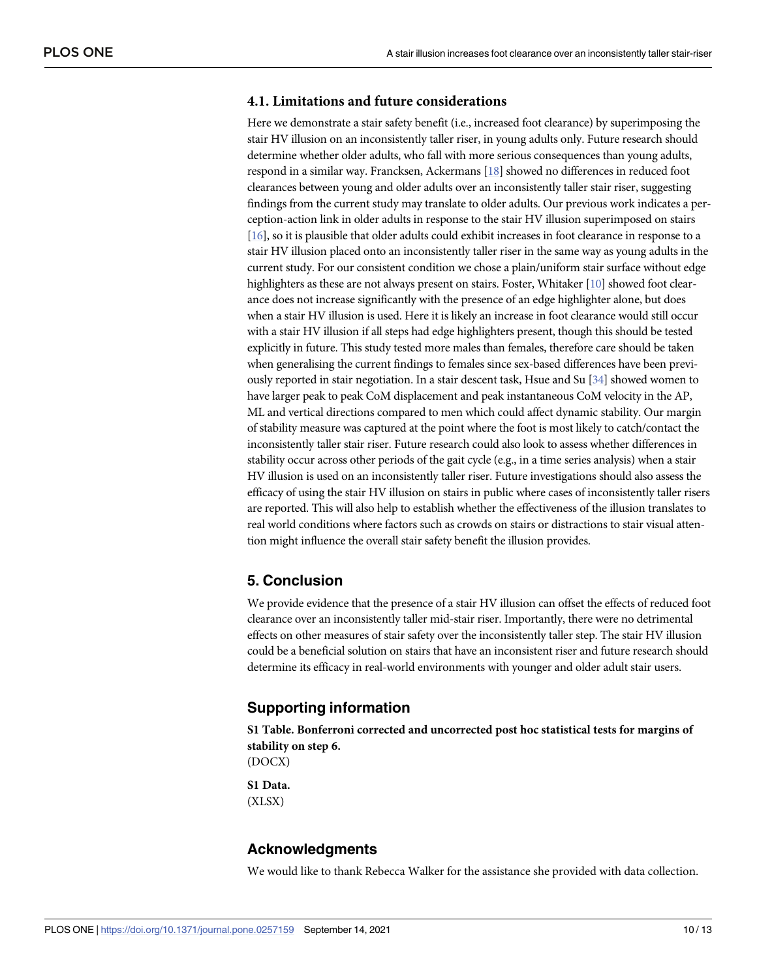#### <span id="page-10-0"></span>**4.1. Limitations and future considerations**

Here we demonstrate a stair safety benefit (i.e., increased foot clearance) by superimposing the stair HV illusion on an inconsistently taller riser, in young adults only. Future research should determine whether older adults, who fall with more serious consequences than young adults, respond in a similar way. Francksen, Ackermans [[18\]](#page-12-0) showed no differences in reduced foot clearances between young and older adults over an inconsistently taller stair riser, suggesting findings from the current study may translate to older adults. Our previous work indicates a perception-action link in older adults in response to the stair HV illusion superimposed on stairs [\[16\]](#page-12-0), so it is plausible that older adults could exhibit increases in foot clearance in response to a stair HV illusion placed onto an inconsistently taller riser in the same way as young adults in the current study. For our consistent condition we chose a plain/uniform stair surface without edge highlighters as these are not always present on stairs. Foster, Whitaker [\[10\]](#page-11-0) showed foot clearance does not increase significantly with the presence of an edge highlighter alone, but does when a stair HV illusion is used. Here it is likely an increase in foot clearance would still occur with a stair HV illusion if all steps had edge highlighters present, though this should be tested explicitly in future. This study tested more males than females, therefore care should be taken when generalising the current findings to females since sex-based differences have been previously reported in stair negotiation. In a stair descent task, Hsue and Su [\[34\]](#page-13-0) showed women to have larger peak to peak CoM displacement and peak instantaneous CoM velocity in the AP, ML and vertical directions compared to men which could affect dynamic stability. Our margin of stability measure was captured at the point where the foot is most likely to catch/contact the inconsistently taller stair riser. Future research could also look to assess whether differences in stability occur across other periods of the gait cycle (e.g., in a time series analysis) when a stair HV illusion is used on an inconsistently taller riser. Future investigations should also assess the efficacy of using the stair HV illusion on stairs in public where cases of inconsistently taller risers are reported. This will also help to establish whether the effectiveness of the illusion translates to real world conditions where factors such as crowds on stairs or distractions to stair visual attention might influence the overall stair safety benefit the illusion provides.

#### **5. Conclusion**

We provide evidence that the presence of a stair HV illusion can offset the effects of reduced foot clearance over an inconsistently taller mid-stair riser. Importantly, there were no detrimental effects on other measures of stair safety over the inconsistently taller step. The stair HV illusion could be a beneficial solution on stairs that have an inconsistent riser and future research should determine its efficacy in real-world environments with younger and older adult stair users.

#### **Supporting information**

**S1 [Table.](http://www.plosone.org/article/fetchSingleRepresentation.action?uri=info:doi/10.1371/journal.pone.0257159.s001) Bonferroni corrected and uncorrected post hoc statistical tests for margins of stability on step 6.** (DOCX) **S1 [Data](http://www.plosone.org/article/fetchSingleRepresentation.action?uri=info:doi/10.1371/journal.pone.0257159.s002).** (XLSX)

## **Acknowledgments**

We would like to thank Rebecca Walker for the assistance she provided with data collection.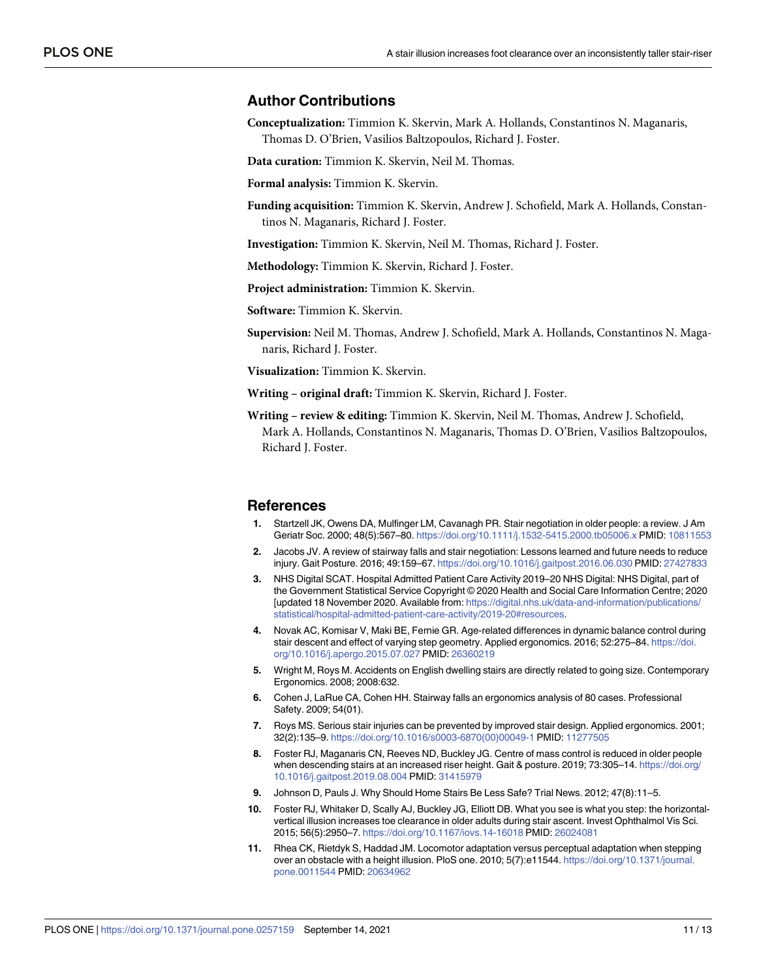#### <span id="page-11-0"></span>**Author Contributions**

**Conceptualization:** Timmion K. Skervin, Mark A. Hollands, Constantinos N. Maganaris, Thomas D. O'Brien, Vasilios Baltzopoulos, Richard J. Foster.

**Data curation:** Timmion K. Skervin, Neil M. Thomas.

**Formal analysis:** Timmion K. Skervin.

**Funding acquisition:** Timmion K. Skervin, Andrew J. Schofield, Mark A. Hollands, Constantinos N. Maganaris, Richard J. Foster.

**Investigation:** Timmion K. Skervin, Neil M. Thomas, Richard J. Foster.

**Methodology:** Timmion K. Skervin, Richard J. Foster.

**Project administration:** Timmion K. Skervin.

**Software:** Timmion K. Skervin.

**Supervision:** Neil M. Thomas, Andrew J. Schofield, Mark A. Hollands, Constantinos N. Maganaris, Richard J. Foster.

**Visualization:** Timmion K. Skervin.

**Writing – original draft:** Timmion K. Skervin, Richard J. Foster.

**Writing – review & editing:** Timmion K. Skervin, Neil M. Thomas, Andrew J. Schofield, Mark A. Hollands, Constantinos N. Maganaris, Thomas D. O'Brien, Vasilios Baltzopoulos, Richard J. Foster.

#### **References**

- **[1](#page-2-0).** Startzell JK, Owens DA, Mulfinger LM, Cavanagh PR. Stair negotiation in older people: a review. J Am Geriatr Soc. 2000; 48(5):567–80. <https://doi.org/10.1111/j.1532-5415.2000.tb05006.x> PMID: [10811553](http://www.ncbi.nlm.nih.gov/pubmed/10811553)
- **[2](#page-2-0).** Jacobs JV. A review of stairway falls and stair negotiation: Lessons learned and future needs to reduce injury. Gait Posture. 2016; 49:159–67. <https://doi.org/10.1016/j.gaitpost.2016.06.030> PMID: [27427833](http://www.ncbi.nlm.nih.gov/pubmed/27427833)
- **[3](#page-2-0).** NHS Digital SCAT. Hospital Admitted Patient Care Activity 2019–20 NHS Digital: NHS Digital, part of the Government Statistical Service Copyright © 2020 Health and Social Care Information Centre; 2020 [updated 18 November 2020. Available from: [https://digital.nhs.uk/data-and-information/publications/](https://digital.nhs.uk/data-and-information/publications/statistical/hospital-admitted-patient-care-activity/2019-20#resources) [statistical/hospital-admitted-patient-care-activity/2019-20#resources](https://digital.nhs.uk/data-and-information/publications/statistical/hospital-admitted-patient-care-activity/2019-20#resources).
- **[4](#page-2-0).** Novak AC, Komisar V, Maki BE, Fernie GR. Age-related differences in dynamic balance control during stair descent and effect of varying step geometry. Applied ergonomics. 2016; 52:275–84. [https://doi.](https://doi.org/10.1016/j.apergo.2015.07.027) [org/10.1016/j.apergo.2015.07.027](https://doi.org/10.1016/j.apergo.2015.07.027) PMID: [26360219](http://www.ncbi.nlm.nih.gov/pubmed/26360219)
- **5.** Wright M, Roys M. Accidents on English dwelling stairs are directly related to going size. Contemporary Ergonomics. 2008; 2008:632.
- **[6](#page-2-0).** Cohen J, LaRue CA, Cohen HH. Stairway falls an ergonomics analysis of 80 cases. Professional Safety. 2009; 54(01).
- **7.** Roys MS. Serious stair injuries can be prevented by improved stair design. Applied ergonomics. 2001; 32(2):135–9. [https://doi.org/10.1016/s0003-6870\(00\)00049-1](https://doi.org/10.1016/s0003-6870%2800%2900049-1) PMID: [11277505](http://www.ncbi.nlm.nih.gov/pubmed/11277505)
- **[8](#page-2-0).** Foster RJ, Maganaris CN, Reeves ND, Buckley JG. Centre of mass control is reduced in older people when descending stairs at an increased riser height. Gait & posture. 2019; 73:305–14. [https://doi.org/](https://doi.org/10.1016/j.gaitpost.2019.08.004) [10.1016/j.gaitpost.2019.08.004](https://doi.org/10.1016/j.gaitpost.2019.08.004) PMID: [31415979](http://www.ncbi.nlm.nih.gov/pubmed/31415979)
- **[9](#page-2-0).** Johnson D, Pauls J. Why Should Home Stairs Be Less Safe? Trial News. 2012; 47(8):11–5.
- **[10](#page-2-0).** Foster RJ, Whitaker D, Scally AJ, Buckley JG, Elliott DB. What you see is what you step: the horizontalvertical illusion increases toe clearance in older adults during stair ascent. Invest Ophthalmol Vis Sci. 2015; 56(5):2950–7. <https://doi.org/10.1167/iovs.14-16018> PMID: [26024081](http://www.ncbi.nlm.nih.gov/pubmed/26024081)
- **[11](#page-2-0).** Rhea CK, Rietdyk S, Haddad JM. Locomotor adaptation versus perceptual adaptation when stepping over an obstacle with a height illusion. PloS one. 2010; 5(7):e11544. [https://doi.org/10.1371/journal.](https://doi.org/10.1371/journal.pone.0011544) [pone.0011544](https://doi.org/10.1371/journal.pone.0011544) PMID: [20634962](http://www.ncbi.nlm.nih.gov/pubmed/20634962)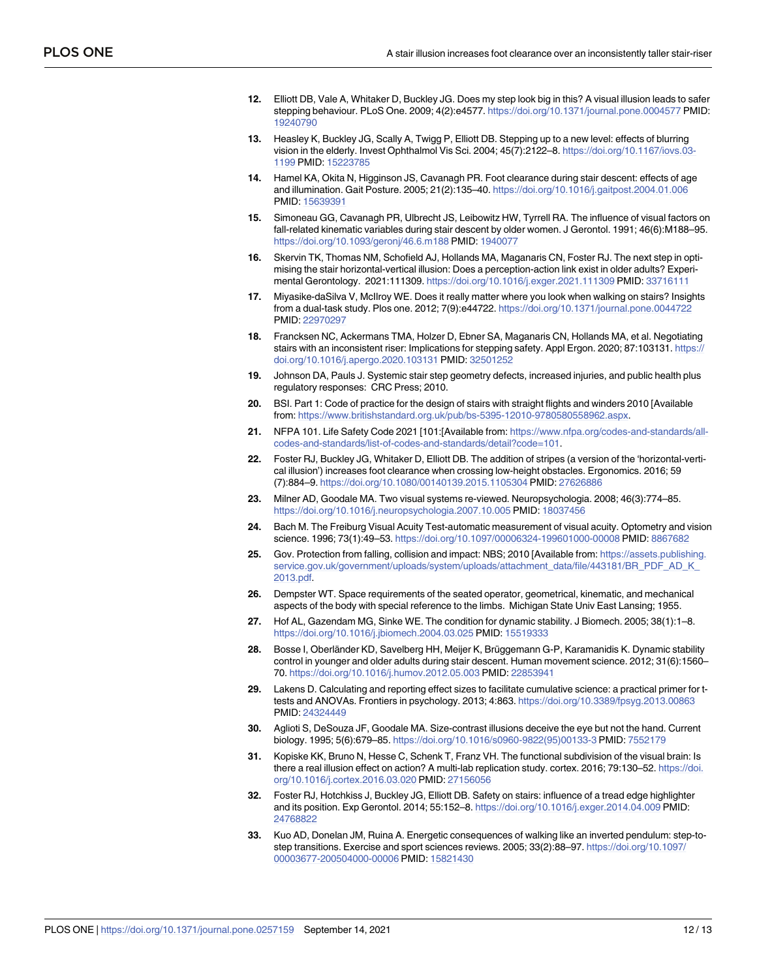- <span id="page-12-0"></span>**[12](#page-2-0).** Elliott DB, Vale A, Whitaker D, Buckley JG. Does my step look big in this? A visual illusion leads to safer stepping behaviour. PLoS One. 2009; 4(2):e4577. <https://doi.org/10.1371/journal.pone.0004577> PMID: [19240790](http://www.ncbi.nlm.nih.gov/pubmed/19240790)
- **[13](#page-2-0).** Heasley K, Buckley JG, Scally A, Twigg P, Elliott DB. Stepping up to a new level: effects of blurring vision in the elderly. Invest Ophthalmol Vis Sci. 2004; 45(7):2122–8. [https://doi.org/10.1167/iovs.03-](https://doi.org/10.1167/iovs.03-1199) [1199](https://doi.org/10.1167/iovs.03-1199) PMID: [15223785](http://www.ncbi.nlm.nih.gov/pubmed/15223785)
- **[14](#page-2-0).** Hamel KA, Okita N, Higginson JS, Cavanagh PR. Foot clearance during stair descent: effects of age and illumination. Gait Posture. 2005; 21(2):135–40. <https://doi.org/10.1016/j.gaitpost.2004.01.006> PMID: [15639391](http://www.ncbi.nlm.nih.gov/pubmed/15639391)
- **[15](#page-2-0).** Simoneau GG, Cavanagh PR, Ulbrecht JS, Leibowitz HW, Tyrrell RA. The influence of visual factors on fall-related kinematic variables during stair descent by older women. J Gerontol. 1991; 46(6):M188–95. <https://doi.org/10.1093/geronj/46.6.m188> PMID: [1940077](http://www.ncbi.nlm.nih.gov/pubmed/1940077)
- **[16](#page-2-0).** Skervin TK, Thomas NM, Schofield AJ, Hollands MA, Maganaris CN, Foster RJ. The next step in optimising the stair horizontal-vertical illusion: Does a perception-action link exist in older adults? Experimental Gerontology. 2021:111309. <https://doi.org/10.1016/j.exger.2021.111309> PMID: [33716111](http://www.ncbi.nlm.nih.gov/pubmed/33716111)
- **[17](#page-2-0).** Miyasike-daSilva V, McIlroy WE. Does it really matter where you look when walking on stairs? Insights from a dual-task study. Plos one. 2012; 7(9):e44722. <https://doi.org/10.1371/journal.pone.0044722> PMID: [22970297](http://www.ncbi.nlm.nih.gov/pubmed/22970297)
- **[18](#page-2-0).** Francksen NC, Ackermans TMA, Holzer D, Ebner SA, Maganaris CN, Hollands MA, et al. Negotiating stairs with an inconsistent riser: Implications for stepping safety. Appl Ergon. 2020; 87:103131. [https://](https://doi.org/10.1016/j.apergo.2020.103131) [doi.org/10.1016/j.apergo.2020.103131](https://doi.org/10.1016/j.apergo.2020.103131) PMID: [32501252](http://www.ncbi.nlm.nih.gov/pubmed/32501252)
- **[19](#page-2-0).** Johnson DA, Pauls J. Systemic stair step geometry defects, increased injuries, and public health plus regulatory responses: CRC Press; 2010.
- **[20](#page-3-0).** BSI. Part 1: Code of practice for the design of stairs with straight flights and winders 2010 [Available from: <https://www.britishstandard.org.uk/pub/bs-5395-12010-9780580558962.aspx>.
- **[21](#page-3-0).** NFPA 101. Life Safety Code 2021 [101:[Available from: [https://www.nfpa.org/codes-and-standards/all](https://www.nfpa.org/codes-and-standards/all-codes-and-standards/list-of-codes-and-standards/detail?code=101)[codes-and-standards/list-of-codes-and-standards/detail?code=101.](https://www.nfpa.org/codes-and-standards/all-codes-and-standards/list-of-codes-and-standards/detail?code=101)
- **[22](#page-3-0).** Foster RJ, Buckley JG, Whitaker D, Elliott DB. The addition of stripes (a version of the 'horizontal-vertical illusion') increases foot clearance when crossing low-height obstacles. Ergonomics. 2016; 59 (7):884–9. <https://doi.org/10.1080/00140139.2015.1105304> PMID: [27626886](http://www.ncbi.nlm.nih.gov/pubmed/27626886)
- **[23](#page-3-0).** Milner AD, Goodale MA. Two visual systems re-viewed. Neuropsychologia. 2008; 46(3):774–85. <https://doi.org/10.1016/j.neuropsychologia.2007.10.005> PMID: [18037456](http://www.ncbi.nlm.nih.gov/pubmed/18037456)
- **[24](#page-4-0).** Bach M. The Freiburg Visual Acuity Test-automatic measurement of visual acuity. Optometry and vision science. 1996; 73(1):49–53. <https://doi.org/10.1097/00006324-199601000-00008> PMID: [8867682](http://www.ncbi.nlm.nih.gov/pubmed/8867682)
- **[25](#page-4-0).** Gov. Protection from falling, collision and impact: NBS; 2010 [Available from: [https://assets.publishing.](https://assets.publishing.service.gov.uk/government/uploads/system/uploads/attachment_data/file/443181/BR_PDF_AD_K_2013.pdf) [service.gov.uk/government/uploads/system/uploads/attachment\\_data/file/443181/BR\\_PDF\\_AD\\_K\\_](https://assets.publishing.service.gov.uk/government/uploads/system/uploads/attachment_data/file/443181/BR_PDF_AD_K_2013.pdf) [2013.pdf](https://assets.publishing.service.gov.uk/government/uploads/system/uploads/attachment_data/file/443181/BR_PDF_AD_K_2013.pdf).
- **[26](#page-5-0).** Dempster WT. Space requirements of the seated operator, geometrical, kinematic, and mechanical aspects of the body with special reference to the limbs. Michigan State Univ East Lansing; 1955.
- **[27](#page-5-0).** Hof AL, Gazendam MG, Sinke WE. The condition for dynamic stability. J Biomech. 2005; 38(1):1–8. <https://doi.org/10.1016/j.jbiomech.2004.03.025> PMID: [15519333](http://www.ncbi.nlm.nih.gov/pubmed/15519333)
- [28](#page-5-0). Bosse I, Oberländer KD, Savelberg HH, Meijer K, Brüggemann G-P, Karamanidis K. Dynamic stability control in younger and older adults during stair descent. Human movement science. 2012; 31(6):1560– 70. <https://doi.org/10.1016/j.humov.2012.05.003> PMID: [22853941](http://www.ncbi.nlm.nih.gov/pubmed/22853941)
- **[29](#page-6-0).** Lakens D. Calculating and reporting effect sizes to facilitate cumulative science: a practical primer for ttests and ANOVAs. Frontiers in psychology. 2013; 4:863. <https://doi.org/10.3389/fpsyg.2013.00863> PMID: [24324449](http://www.ncbi.nlm.nih.gov/pubmed/24324449)
- **[30](#page-9-0).** Aglioti S, DeSouza JF, Goodale MA. Size-contrast illusions deceive the eye but not the hand. Current biology. 1995; 5(6):679–85. [https://doi.org/10.1016/s0960-9822\(95\)00133-3](https://doi.org/10.1016/s0960-9822%2895%2900133-3) PMID: [7552179](http://www.ncbi.nlm.nih.gov/pubmed/7552179)
- **[31](#page-9-0).** Kopiske KK, Bruno N, Hesse C, Schenk T, Franz VH. The functional subdivision of the visual brain: Is there a real illusion effect on action? A multi-lab replication study. cortex. 2016; 79:130–52. [https://doi.](https://doi.org/10.1016/j.cortex.2016.03.020) [org/10.1016/j.cortex.2016.03.020](https://doi.org/10.1016/j.cortex.2016.03.020) PMID: [27156056](http://www.ncbi.nlm.nih.gov/pubmed/27156056)
- **[32](#page-9-0).** Foster RJ, Hotchkiss J, Buckley JG, Elliott DB. Safety on stairs: influence of a tread edge highlighter and its position. Exp Gerontol. 2014; 55:152–8. <https://doi.org/10.1016/j.exger.2014.04.009> PMID: [24768822](http://www.ncbi.nlm.nih.gov/pubmed/24768822)
- **[33](#page-9-0).** Kuo AD, Donelan JM, Ruina A. Energetic consequences of walking like an inverted pendulum: step-tostep transitions. Exercise and sport sciences reviews. 2005; 33(2):88–97. [https://doi.org/10.1097/](https://doi.org/10.1097/00003677-200504000-00006) [00003677-200504000-00006](https://doi.org/10.1097/00003677-200504000-00006) PMID: [15821430](http://www.ncbi.nlm.nih.gov/pubmed/15821430)